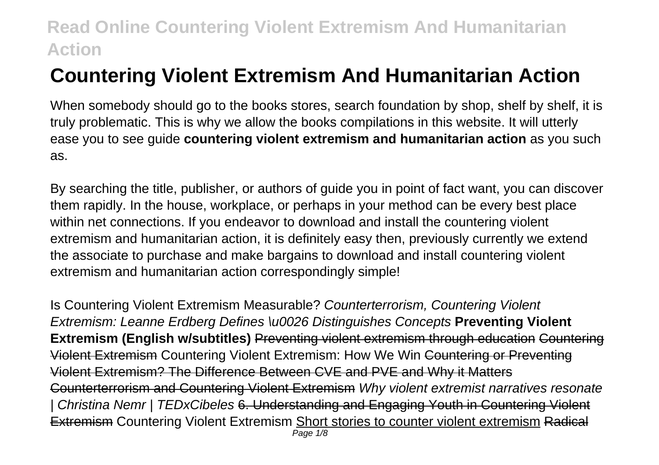# **Countering Violent Extremism And Humanitarian Action**

When somebody should go to the books stores, search foundation by shop, shelf by shelf, it is truly problematic. This is why we allow the books compilations in this website. It will utterly ease you to see guide **countering violent extremism and humanitarian action** as you such as.

By searching the title, publisher, or authors of guide you in point of fact want, you can discover them rapidly. In the house, workplace, or perhaps in your method can be every best place within net connections. If you endeavor to download and install the countering violent extremism and humanitarian action, it is definitely easy then, previously currently we extend the associate to purchase and make bargains to download and install countering violent extremism and humanitarian action correspondingly simple!

Is Countering Violent Extremism Measurable? Counterterrorism, Countering Violent Extremism: Leanne Erdberg Defines \u0026 Distinguishes Concepts **Preventing Violent Extremism (English w/subtitles)** Preventing violent extremism through education Countering Violent Extremism Countering Violent Extremism: How We Win Countering or Preventing Violent Extremism? The Difference Between CVE and PVE and Why it Matters Counterterrorism and Countering Violent Extremism Why violent extremist narratives resonate | Christina Nemr | TEDxCibeles 6. Understanding and Engaging Youth in Countering Violent **Extremism Countering Violent Extremism Short stories to counter violent extremism Radical** Page 1/8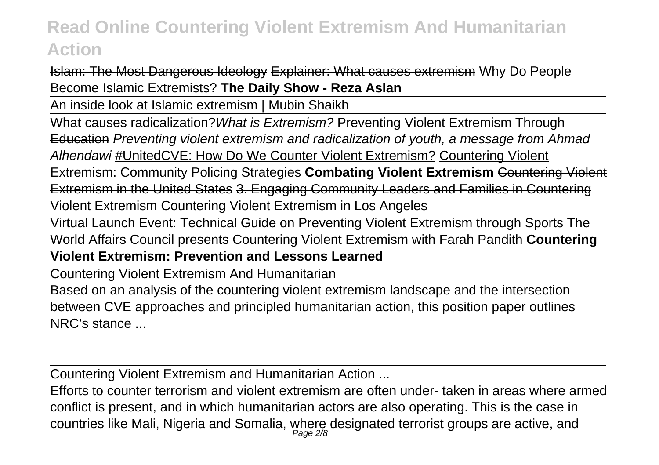Islam: The Most Dangerous Ideology Explainer: What causes extremism Why Do People Become Islamic Extremists? **The Daily Show - Reza Aslan**

An inside look at Islamic extremism | Mubin Shaikh

What causes radicalization? What is Extremism? Preventing Violent Extremism Through Education Preventing violent extremism and radicalization of youth, a message from Ahmad Alhendawi #UnitedCVE: How Do We Counter Violent Extremism? Countering Violent Extremism: Community Policing Strategies **Combating Violent Extremism** Countering Violent Extremism in the United States 3. Engaging Community Leaders and Families in Countering Violent Extremism Countering Violent Extremism in Los Angeles

Virtual Launch Event: Technical Guide on Preventing Violent Extremism through Sports The World Affairs Council presents Countering Violent Extremism with Farah Pandith **Countering Violent Extremism: Prevention and Lessons Learned**

Countering Violent Extremism And Humanitarian

Based on an analysis of the countering violent extremism landscape and the intersection between CVE approaches and principled humanitarian action, this position paper outlines NRC's stance ...

Countering Violent Extremism and Humanitarian Action ...

Efforts to counter terrorism and violent extremism are often under- taken in areas where armed conflict is present, and in which humanitarian actors are also operating. This is the case in countries like Mali, Nigeria and Somalia, where designated terrorist groups are active, and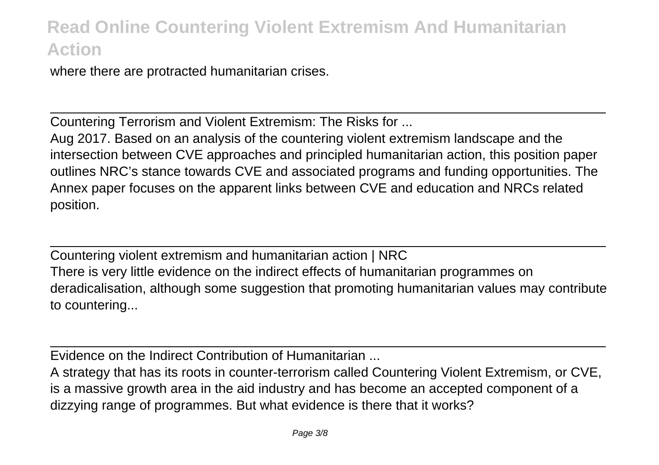where there are protracted humanitarian crises.

Countering Terrorism and Violent Extremism: The Risks for ...

Aug 2017. Based on an analysis of the countering violent extremism landscape and the intersection between CVE approaches and principled humanitarian action, this position paper outlines NRC's stance towards CVE and associated programs and funding opportunities. The Annex paper focuses on the apparent links between CVE and education and NRCs related position.

Countering violent extremism and humanitarian action | NRC There is very little evidence on the indirect effects of humanitarian programmes on deradicalisation, although some suggestion that promoting humanitarian values may contribute to countering...

Evidence on the Indirect Contribution of Humanitarian ...

A strategy that has its roots in counter-terrorism called Countering Violent Extremism, or CVE, is a massive growth area in the aid industry and has become an accepted component of a dizzying range of programmes. But what evidence is there that it works?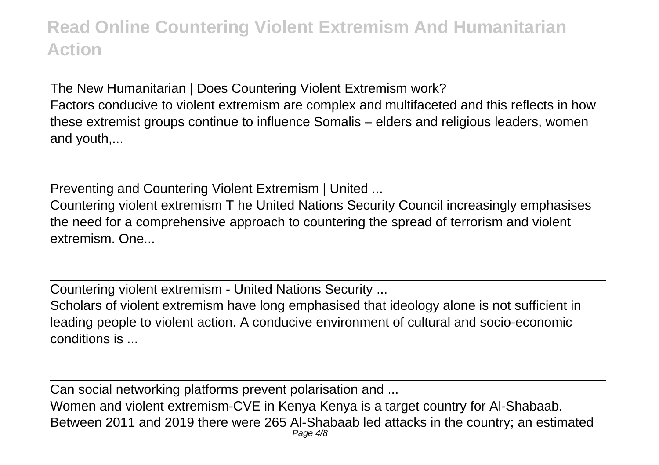The New Humanitarian | Does Countering Violent Extremism work? Factors conducive to violent extremism are complex and multifaceted and this reflects in how these extremist groups continue to influence Somalis – elders and religious leaders, women and youth,...

Preventing and Countering Violent Extremism | United ...

Countering violent extremism T he United Nations Security Council increasingly emphasises the need for a comprehensive approach to countering the spread of terrorism and violent extremism. One...

Countering violent extremism - United Nations Security ...

Scholars of violent extremism have long emphasised that ideology alone is not sufficient in leading people to violent action. A conducive environment of cultural and socio-economic conditions is ...

Can social networking platforms prevent polarisation and ...

Women and violent extremism-CVE in Kenya Kenya is a target country for Al-Shabaab. Between 2011 and 2019 there were 265 Al-Shabaab led attacks in the country; an estimated Page  $4/8$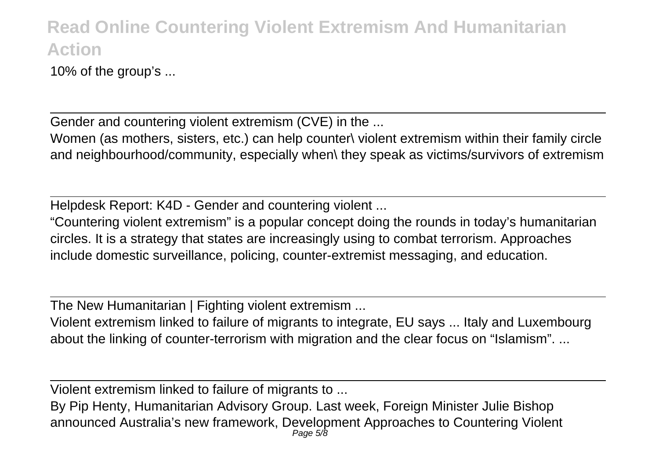10% of the group's ...

Gender and countering violent extremism (CVE) in the ...

Women (as mothers, sisters, etc.) can help counter\ violent extremism within their family circle and neighbourhood/community, especially when\ they speak as victims/survivors of extremism

Helpdesk Report: K4D - Gender and countering violent ...

"Countering violent extremism" is a popular concept doing the rounds in today's humanitarian circles. It is a strategy that states are increasingly using to combat terrorism. Approaches include domestic surveillance, policing, counter-extremist messaging, and education.

The New Humanitarian | Fighting violent extremism ...

Violent extremism linked to failure of migrants to integrate, EU says ... Italy and Luxembourg about the linking of counter-terrorism with migration and the clear focus on "Islamism". ...

Violent extremism linked to failure of migrants to ...

By Pip Henty, Humanitarian Advisory Group. Last week, Foreign Minister Julie Bishop announced Australia's new framework, Development Approaches to Countering Violent Page 5/8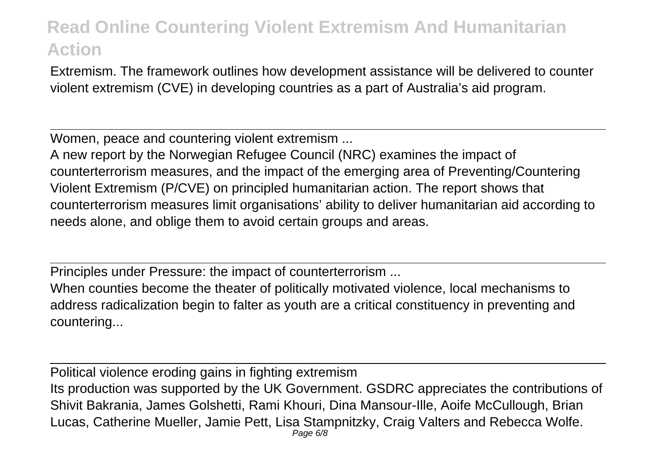Extremism. The framework outlines how development assistance will be delivered to counter violent extremism (CVE) in developing countries as a part of Australia's aid program.

Women, peace and countering violent extremism ...

A new report by the Norwegian Refugee Council (NRC) examines the impact of counterterrorism measures, and the impact of the emerging area of Preventing/Countering Violent Extremism (P/CVE) on principled humanitarian action. The report shows that counterterrorism measures limit organisations' ability to deliver humanitarian aid according to needs alone, and oblige them to avoid certain groups and areas.

Principles under Pressure: the impact of counterterrorism ...

When counties become the theater of politically motivated violence, local mechanisms to address radicalization begin to falter as youth are a critical constituency in preventing and countering...

Political violence eroding gains in fighting extremism Its production was supported by the UK Government. GSDRC appreciates the contributions of Shivit Bakrania, James Golshetti, Rami Khouri, Dina Mansour-Ille, Aoife McCullough, Brian Lucas, Catherine Mueller, Jamie Pett, Lisa Stampnitzky, Craig Valters and Rebecca Wolfe. Page 6/8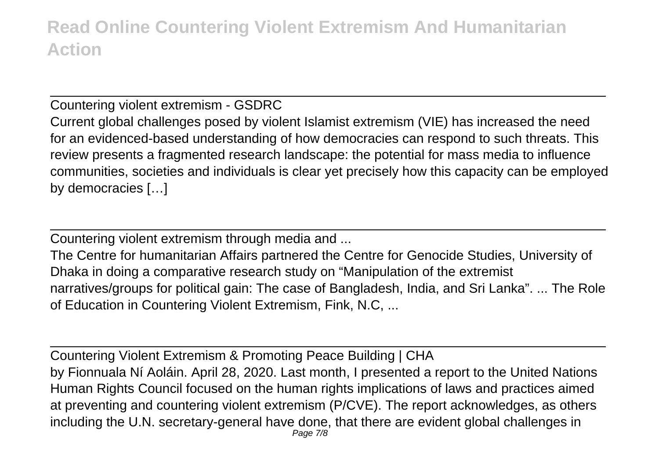Countering violent extremism - GSDRC Current global challenges posed by violent Islamist extremism (VIE) has increased the need for an evidenced-based understanding of how democracies can respond to such threats. This review presents a fragmented research landscape: the potential for mass media to influence communities, societies and individuals is clear yet precisely how this capacity can be employed by democracies […]

Countering violent extremism through media and ...

The Centre for humanitarian Affairs partnered the Centre for Genocide Studies, University of Dhaka in doing a comparative research study on "Manipulation of the extremist narratives/groups for political gain: The case of Bangladesh, India, and Sri Lanka". ... The Role of Education in Countering Violent Extremism, Fink, N.C, ...

Countering Violent Extremism & Promoting Peace Building | CHA by Fionnuala Ní Aoláin. April 28, 2020. Last month, I presented a report to the United Nations Human Rights Council focused on the human rights implications of laws and practices aimed at preventing and countering violent extremism (P/CVE). The report acknowledges, as others including the U.N. secretary-general have done, that there are evident global challenges in Page 7/8